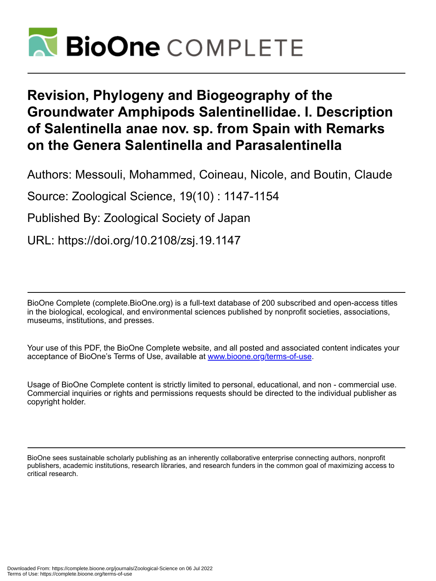

# **Revision, Phylogeny and Biogeography of the Groundwater Amphipods Salentinellidae. I. Description of Salentinella anae nov. sp. from Spain with Remarks on the Genera Salentinella and Parasalentinella**

Authors: Messouli, Mohammed, Coineau, Nicole, and Boutin, Claude

Source: Zoological Science, 19(10) : 1147-1154

Published By: Zoological Society of Japan

URL: https://doi.org/10.2108/zsj.19.1147

BioOne Complete (complete.BioOne.org) is a full-text database of 200 subscribed and open-access titles in the biological, ecological, and environmental sciences published by nonprofit societies, associations, museums, institutions, and presses.

Your use of this PDF, the BioOne Complete website, and all posted and associated content indicates your acceptance of BioOne's Terms of Use, available at www.bioone.org/terms-of-use.

Usage of BioOne Complete content is strictly limited to personal, educational, and non - commercial use. Commercial inquiries or rights and permissions requests should be directed to the individual publisher as copyright holder.

BioOne sees sustainable scholarly publishing as an inherently collaborative enterprise connecting authors, nonprofit publishers, academic institutions, research libraries, and research funders in the common goal of maximizing access to critical research.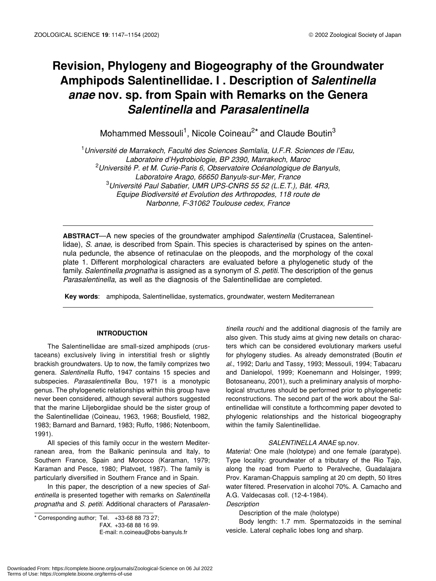# **Revision, Phylogeny and Biogeography of the Groundwater Amphipods Salentinellidae. I . Description of** *Salentinella anae* **nov. sp. from Spain with Remarks on the Genera** *Salentinella* **and** *Parasalentinella*

Mohammed Messouli<sup>1</sup>, Nicole Coineau<sup>2\*</sup> and Claude Boutin<sup>3</sup>

1 *Université de Marrakech, Faculté des Sciences Semlalia, U.F.R. Sciences de l'Eau, Laboratoire d'Hydrobiologie, BP 2390, Marrakech, Maroc* 2 *Université P. et M. Curie-Paris 6, Observatoire Océanologique de Banyuls, Laboratoire Arago, 66650 Banyuls-sur-Mer, France* 3 *Université Paul Sabatier, UMR UPS-CNRS 55 52 (L.E.T.), Bât. 4R3, Equipe Biodiversité et Evolution des Arthropodes, 118 route de Narbonne, F-31062 Toulouse cedex, France*

**ABSTRACT**—A new species of the groundwater amphipod *Salentinella* (Crustacea, Salentinellidae), *S. anae,* is described from Spain. This species is characterised by spines on the antennula peduncle, the absence of retinaculae on the pleopods, and the morphology of the coxal plate 1. Different morphological characters are evaluated before a phylogenetic study of the family. *Salentinella prognatha* is assigned as a synonym of *S. petiti*. The description of the genus *Parasalentinella*, as well as the diagnosis of the Salentinellidae are completed.

 **Key words**: amphipoda, Salentinellidae, systematics, groundwater, western Mediterranean

# **INTRODUCTION**

The Salentinellidae are small-sized amphipods (crustaceans) exclusively living in interstitial fresh or slightly brackish groundwaters. Up to now, the family comprizes two genera. *Salentinella* Ruffo, 1947 contains 15 species and subspecies. *Parasalentinella* Bou, 1971 is a monotypic genus. The phylogenetic relationships within this group have never been considered, although several authors suggested that the marine Liljeborgiidae should be the sister group of the Salentinellidae (Coineau, 1963, 1968; Bousfield, 1982, 1983; Barnard and Barnard, 1983; Ruffo, 1986; Notenboom, 1991).

All species of this family occur in the western Mediterranean area, from the Balkanic peninsula and Italy, to Southern France, Spain and Morocco (Karaman, 1979; Karaman and Pesce, 1980; Platvoet, 1987). The family is particularly diversified in Southern France and in Spain.

In this paper, the description of a new species of *Salentinella* is presented together with remarks on *Salentinella prognatha* and *S. petiti.* Additional characters of *Parasalen-*

\* Corresponding author; Tel. +33-68 88 73 27;

*tinella rouchi* and the additional diagnosis of the family are also given. This study aims at giving new details on characters which can be considered evolutionary markers useful for phylogeny studies. As already demonstrated (Boutin *et al*., 1992; Darlu and Tassy, 1993; Messouli, 1994; Tabacaru and Danielopol, 1999; Koenemann and Holsinger, 1999; Botosaneanu, 2001), such a preliminary analysis of morphological structures should be performed prior to phylogenetic reconstructions. The second part of the work about the Salentinellidae will constitute a forthcomming paper devoted to phylogenic relationships and the historical biogeography within the family Salentinellidae.

# *SALENTINELLA ANAE* sp.nov*.*

*Material:* One male (holotype) and one female (paratype). Type locality: groundwater of a tributary of the Rio Tajo, along the road from Puerto to Peralveche, Guadalajara Prov. Karaman-Chappuis sampling at 20 cm depth, 50 litres water filtered. Preservation in alcohol 70%. A. Camacho and A.G. Valdecasas coll. (12-4-1984).

### *Description*

Description of the male (holotype)

Body length: 1.7 mm. Spermatozoids in the seminal vesicle. Lateral cephalic lobes long and sharp.

FAX. +33-68 88 16 99.

E-mail: n.coineau@obs-banyuls.fr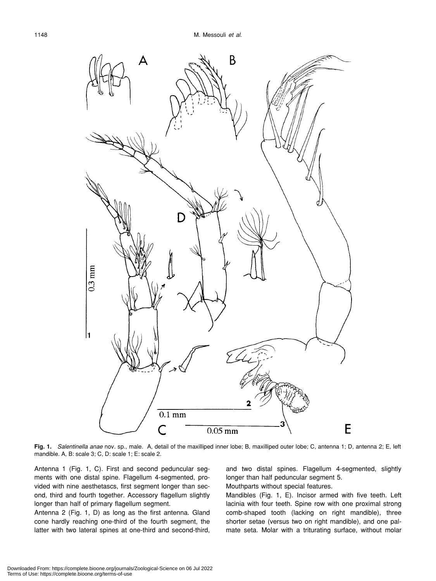

**Fig. 1.** *Salentinella anae* nov. sp., male. A, detail of the maxilliped inner lobe; B, maxilliped outer lobe; C, antenna 1; D, antenna 2; E, left mandible. A, B: scale 3; C, D: scale 1; E: scale 2.

Antenna 1 (Fig. 1, C). First and second peduncular segments with one distal spine. Flagellum 4-segmented, provided with nine aesthetascs, first segment longer than second, third and fourth together. Accessory flagellum slightly longer than half of primary flagellum segment.

Antenna 2 (Fig. 1, D) as long as the first antenna. Gland cone hardly reaching one-third of the fourth segment, the latter with two lateral spines at one-third and second-third, and two distal spines. Flagellum 4-segmented, slightly longer than half peduncular segment 5.

Mouthparts without special features.

Mandibles (Fig. 1, E). Incisor armed with five teeth. Left lacinia with four teeth. Spine row with one proximal strong comb-shaped tooth (lacking on right mandible), three shorter setae (versus two on right mandible), and one palmate seta. Molar with a triturating surface, without molar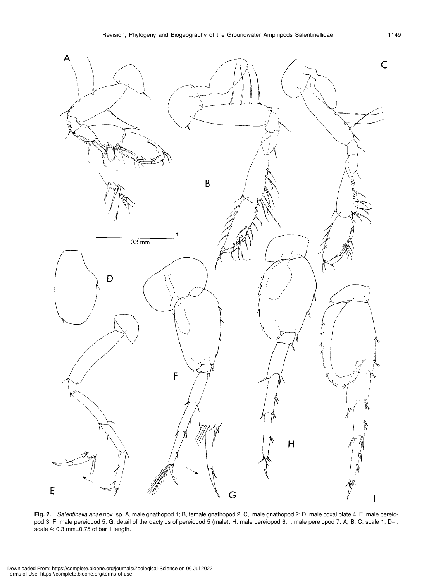

**Fig. 2.** *Salentinella anae* nov. sp. A, male gnathopod 1; B, female gnathopod 2; C, male gnathopod 2; D, male coxal plate 4; E, male pereiopod 3; F, male pereiopod 5; G, detail of the dactylus of pereiopod 5 (male); H, male pereiopod 6; I, male pereiopod 7. A, B, C: scale 1; D-I: scale 4: 0.3 mm=0.75 of bar 1 length.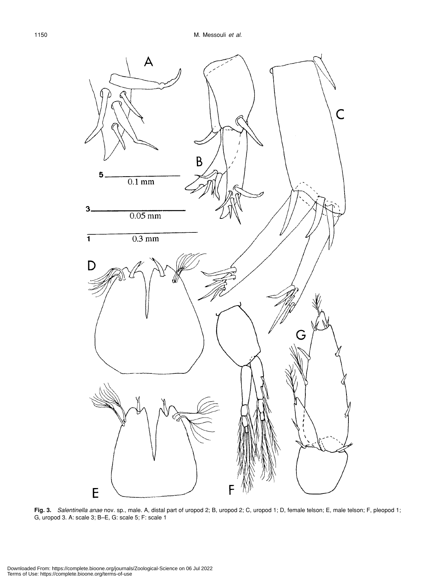

**Fig. 3.** *Salentinella anae* nov. sp., male. A, distal part of uropod 2; B, uropod 2; C, uropod 1; D, female telson; E, male telson; F, pleopod 1; G, uropod 3. A: scale 3; B–E, G: scale 5; F: scale 1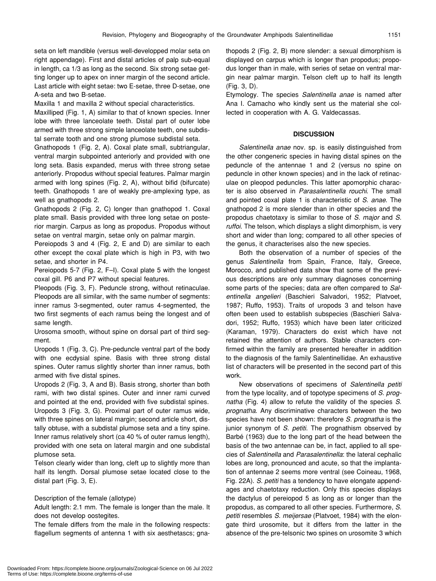seta on left mandible (versus well-developped molar seta on right appendage). First and distal articles of palp sub-equal in length, ca 1/3 as long as the second. Six strong setae getting longer up to apex on inner margin of the second article. Last article with eight setae: two E-setae, three D-setae, one A-seta and two B-setae.

Maxilla 1 and maxilla 2 without special characteristics.

Maxilliped (Fig. 1, A) similar to that of known species. Inner lobe with three lanceolate teeth. Distal part of outer lobe armed with three strong simple lanceolate teeth, one subdistal serrate tooth and one strong plumose subdistal seta.

Gnathopods 1 (Fig. 2, A). Coxal plate small, subtriangular, ventral margin subpointed anteriorly and provided with one long seta. Basis expanded, merus with three strong setae anteriorly. Propodus without special features. Palmar margin armed with long spines (Fig. 2, A), without bifid (bifurcate) teeth. Gnathopods 1 are of weakly pre-amplexing type, as well as gnathopods 2.

Gnathopods 2 (Fig. 2, C) longer than gnathopod 1. Coxal plate small. Basis provided with three long setae on posterior margin. Carpus as long as propodus. Propodus without setae on ventral margin, setae only on palmar margin.

Pereiopods 3 and 4 (Fig. 2, E and D) are similar to each other except the coxal plate which is high in P3, with two setae, and shorter in P4.

Pereiopods 5-7 (Fig. 2, F–I). Coxal plate 5 with the longest coxal gill. P6 and P7 without special features.

Pleopods (Fig. 3, F). Peduncle strong, without retinaculae. Pleopods are all similar, with the same number of segments: inner ramus 3-segmented, outer ramus 4-segmented, the two first segments of each ramus being the longest and of same length.

Urosoma smooth, without spine on dorsal part of third segment.

Uropods 1 (Fig. 3, C). Pre-peduncle ventral part of the body with one ecdysial spine. Basis with three strong distal spines. Outer ramus slightly shorter than inner ramus, both armed with five distal spines.

Uropods 2 (Fig. 3, A and B). Basis strong, shorter than both rami, with two distal spines. Outer and inner rami curved and pointed at the end, provided with five subdistal spines. Uropods 3 (Fig. 3, G). Proximal part of outer ramus wide, with three spines on lateral margin; second article short, distally obtuse, with a subdistal plumose seta and a tiny spine. Inner ramus relatively short (ca 40 % of outer ramus length), provided with one seta on lateral margin and one subdistal plumose seta.

Telson clearly wider than long, cleft up to slightly more than half its length. Dorsal plumose setae located close to the distal part (Fig. 3, E).

# Description of the female (allotype)

Adult length: 2.1 mm. The female is longer than the male. It does not develop oostegites.

The female differs from the male in the following respects: flagellum segments of antenna 1 with six aesthetascs; gnathopods 2 (Fig. 2, B) more slender: a sexual dimorphism is displayed on carpus which is longer than propodus; propodus longer than in male, with series of setae on ventral margin near palmar margin. Telson cleft up to half its length (Fig. 3, D).

Etymology. The species *Salentinella anae* is named after Ana I. Camacho who kindly sent us the material she collected in cooperation with A. G. Valdecassas.

#### **DISCUSSION**

*Salentinella anae* nov. sp. is easily distinguished from the other congeneric species in having distal spines on the peduncle of the antennae 1 and 2 (versus no spine on peduncle in other known species) and in the lack of retinaculae on pleopod peduncles. This latter apomorphic character is also observed in *Parasalentinella rouchi*. The small and pointed coxal plate 1 is characteristic of *S. anae*. The gnathopod 2 is more slender than in other species and the propodus chaetotaxy is similar to those of *S. major* and *S. ruffoi*. The telson, which displays a slight dimorphism, is very short and wider than long; compared to all other species of the genus, it characterises also the new species.

Both the observation of a number of species of the genus *Salentinella* from Spain, France, Italy, Greece, Morocco, and published data show that some of the previous descriptions are only summary diagnoses concerning some parts of the species; data are often compared to *Salentinella angelieri* (Baschieri Salvadori, 1952; Platvoet, 1987; Ruffo, 1953). Traits of uropods 3 and telson have often been used to establish subspecies (Baschieri Salvadori, 1952; Ruffo, 1953) which have been later criticized (Karaman, 1979). Characters do exist which have not retained the attention of authors. Stable characters confirmed within the family are presented hereafter in addition to the diagnosis of the family Salentinellidae. An exhaustive list of characters will be presented in the second part of this work.

New observations of specimens of *Salentinella petiti* from the type locality, and of topotype specimens of *S. prognatha* (Fig. 4) allow to refute the validity of the species *S. prognatha*. Any discriminative characters between the two species have not been shown: therefore *S. prognatha* is the junior synonym of *S. petiti*. The prognathism observed by Barbé (1963) due to the long part of the head between the basis of the two antennae can be, in fact, applied to all species of *Salentinella* and *Parasalentinella*: the lateral cephalic lobes are long, pronounced and acute, so that the implantation of antennae 2 seems more ventral (see Coineau, 1968, Fig. 22A). *S. petiti* has a tendency to have elongate appendages and chaetotaxy reduction. Only this species displays the dactylus of pereiopod 5 as long as or longer than the propodus, as compared to all other species. Furthermore, *S. petiti* resembles *S. meijersae* (Platvoet, 1984) with the elongate third urosomite, but it differs from the latter in the absence of the pre-telsonic two spines on urosomite 3 which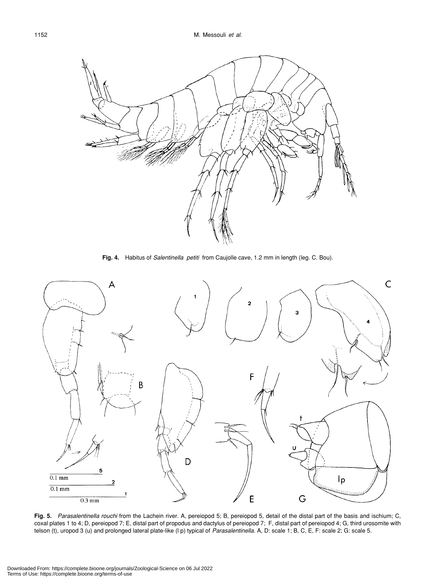

**Fig. 4.** Habitus of *Salentinella petiti* from Caujolle cave, 1.2 mm in length (leg. C. Bou).



**Fig. 5.** *Parasalentinella rouchi* from the Lachein river. A, pereiopod 5; B, pereiopod 5, detail of the distal part of the basis and ischium; C, coxal plates 1 to 4; D, pereiopod 7; E, distal part of propodus and dactylus of pereiopod 7; F, distal part of pereiopod 4; G, third urosomite with telson (t), uropod 3 (u) and prolonged lateral plate-like (l p) typical of *Parasalentinella.* A, D: scale 1; B, C, E, F: scale 2; G: scale 5.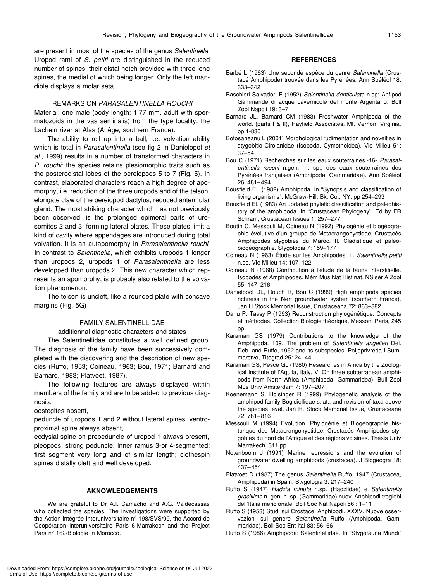#### REMARKS ON *PARASALENTINELLA ROUCHI*

spines, the medial of which being longer. Only the left man-

dible displays a molar seta.

Material: one male (body length: 1.77 mm, adult with spermatozoids in the vas seminalis) from the type locality: the Lachein river at Alas (Ariège, southern France).

The ability to roll up into a ball, i.e. volvation ability which is total in *Parasalentinella* (see fig 2 in Danielopol *et al*., 1999) results in a number of transformed characters in *P. rouchi*: the species retains plesiomorphic traits such as the posterodistal lobes of the pereiopods 5 to 7 (Fig. 5). In contrast, elaborated characters reach a high degree of apomorphy, i.e. reduction of the three uropods and of the telson, elongate claw of the pereiopod dactylus, reduced antennular gland. The most striking character which has not previously been observed, is the prolonged epimeral parts of urosomites 2 and 3, forming lateral plates. These plates limit a kind of cavity where appendages are introduced during total volvation. It is an autapomorphy in *Parasalentinella rouchi*. In contrast to *Salentinella*, which exhibits uropods 1 longer than uropods 2, uropods 1 of *Parasalentinella* are less developped than uropods 2. This new character which represents an apomorphy, is probably also related to the volvation phenomenon.

The telson is uncleft, like a rounded plate with concave margins (Fig. 5G)

## FAMILY SALENTINELLIDAE

additionnal diagnostic characters and states

The Salentinellidae constitutes a well defined group. The diagnosis of the family have been successively completed with the discovering and the description of new species (Ruffo, 1953; Coineau, 1963; Bou, 1971; Barnard and Barnard, 1983; Platvoet, 1987).

The following features are always displayed within members of the family and are to be added to previous diagnosis:

oostegites absent,

peduncle of uropods 1 and 2 without lateral spines, ventroproximal spine always absent,

ecdysial spine on prepeduncle of uropod 1 always present, pleopods: strong peduncle. Inner ramus 3-or 4-segmented; first segment very long and of similar length; clothespin spines distally cleft and well developed.

#### **AKNOWLEDGEMENTS**

We are grateful to Dr A.I. Camacho and A.G. Valdecassas who collected the species. The investigations were supported by the Action Intégrée Interuniversitaire n° 198/SVS/99, the Accord de Coopération Interuniversitaire Paris 6-Marrakech and the Project Pars n° 162/Biologie in Morocco.

#### **REFERENCES**

- Barbé L (1963) Une seconde espèce du genre *Salentinella* (Crustacé Amphipode) trouvée dans les Pyrénées. Ann Spéléol 18: 333–342
- Baschieri Salvadori F (1952) *Salentinella denticulata* n.sp; Anfipod Gammaride di acque cavernicole del monte Argentario. Boll Zool Napoli 19: 3–7
- Barnard JL, Barnard CM (1983) Freshwater Amphipoda of the world. (parts I & II), Hayfield Associates, Mt. Vernon, Virginia, pp 1-830
- Botosaneanu L (2001) Morphological rudimentation and novelties in stygobitic Cirolanidae (Isopoda, Cymothoidea). Vie Milieu 51: 37–54
- Bou C (1971) Recherches sur les eaux souterraines.-16- *Parasalentinella rouchi* n.gen., n. sp., des eaux souterraines des Pyrénées françaises (Amphipoda, Gammaridae). Ann Spéléol 26: 481–494
- Bousfield EL (1982) Amphipoda. In "Synopsis and classification of living organisms", McGraw-Hill, Bk. Co., NY, pp 254–293
- Bousfield EL (1983) An updated phyletic classification and paleohistory of the amphipoda. In "Crustacean Phylogeny", Ed by FR Schram, Crustacean Issues 1: 257–277
- Boutin C, Messouli M, Coineau N (1992) Phylogénie et biogéographie évolutive d'un groupe de Metacrangonyctidae, Crustacés Amphipodes stygobies du Maroc. II. Cladistique et paléobiogéographie. Stygologia 7: 159–177
- Coineau N (1963) Étude sur les Amphipodes. II. *Salentinella petiti* n.sp. Vie Milieu 14: 107–122
- Coineau N (1968) Contribution à l'étude de la faune interstitielle. Isopodes et Amphipodes. Mém Mus Nat Hist nat, NS sér A Zool 55: 147–216
- Danielopol DL, Rouch R, Bou C (1999) High amphipoda species richness in the Nert groundwater system (southern France). Jan H Stock Memorial Issue, Crustaceana 72: 863–882
- Darlu P, Tassy P (1993) Reconstruction phylogénétique. Concepts et méthodes. Collection Biologie théorique, Masson, Paris, 245 pp
- Karaman GS (1979) Contributions to the knowledge of the Amphipoda. 109. The problem of *Salentinella angelieri* Del. Deb. and Ruffo, 1952 and its subspecies. Poljoprivreda I Summarstvo, Titograd 25: 24–44
- Karaman GS, Pesce GL (1980) Researches in Africa by the Zoological Institute of l'Aquila, Italy, V. On three subterranean amphipods from North Africa (Amphipoda: Gammaridea), Bull Zool Mus Univ Amsterdam 7: 197–207
- Koenemann S, Holsinger R (1999) Phylogenetic analysis of the amphipod family Bogidiellidae s.lat., and revision of taxa above the species level. Jan H. Stock Memorial Issue, Crustaceana 72: 781–816
- Messouli M (1994) Evolution, Phylogénie et Biogéographie historique des Metacrangonyctidae, Crustacés Amphipodes stygobies du nord de l'Afrique et des régions voisines. Thesis Univ Marrakech, 311 pp
- Notenboom J (1991) Marine regressions and the evolution of groundwater dwelling amphipods (crustacea). J Biogeogra 18: 437–454
- Platvoet D (1987) The genus *Salentinella* Ruffo, 1947 (Crustacea, Amphipoda) in Spain. Stygologia 3: 217–240
- Ruffo S (1947) *Hadzia minuta* n.sp. (Hadziidae) e *Salentinella gracillima* n. gen. n. sp. (Gammaridae) nuovi Anphipodi troglobi dell'Italia meridionale. Boll Soc Nat Napoli 56 : 1–11
- Ruffo S (1953) Studi sui Crostacei Anphipodi. XXXV. Nuove osservazioni sul genere *Salentinella* Ruffo (Amphipoda, Gammaridae). Boll Soc Ent Ital 83: 56–66
- Ruffo S (1986) Amphipoda: Salentinellidae. In "Stygofauna Mundi"